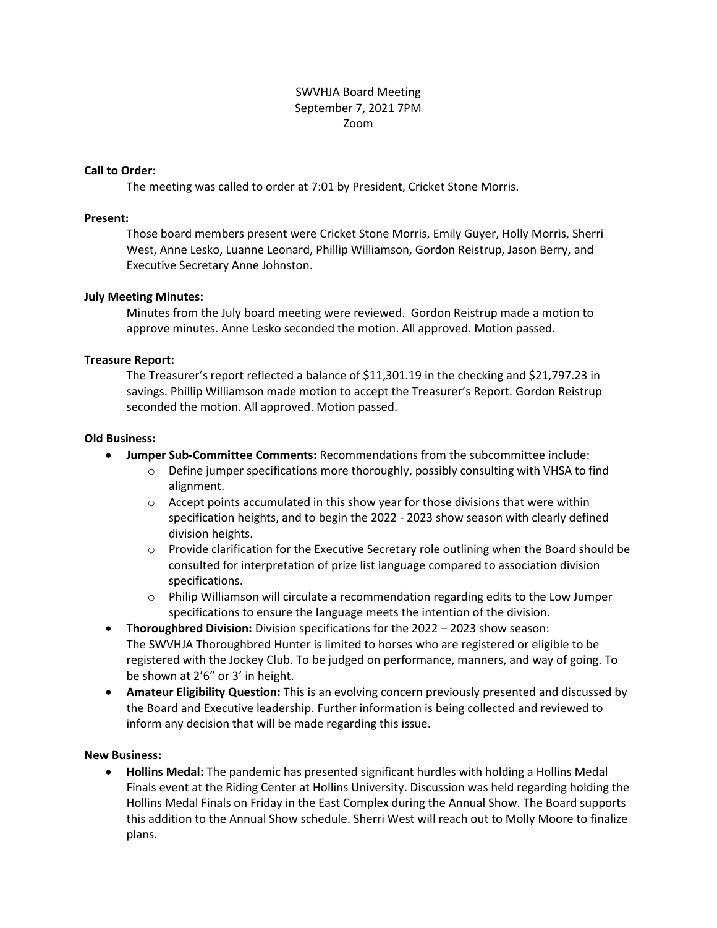# SWVHJA Board Meeting September 7, 2021 7PM Zoom

## **Call to Order:**

The meeting was called to order at 7:01 by President, Cricket Stone Morris.

#### **Present:**

Those board members present were Cricket Stone Morris, Emily Guyer, Holly Morris, Sherri West, Anne Lesko, Luanne Leonard, Phillip Williamson, Gordon Reistrup, Jason Berry, and Executive Secretary Anne Johnston.

## **July Meeting Minutes:**

Minutes from the July board meeting were reviewed. Gordon Reistrup made a motion to approve minutes. Anne Lesko seconded the motion. All approved. Motion passed.

## **Treasure Report:**

The Treasurer's report reflected a balance of \$11,301.19 in the checking and \$21,797.23 in savings. Phillip Williamson made motion to accept the Treasurer's Report. Gordon Reistrup seconded the motion. All approved. Motion passed.

## **Old Business:**

- **Jumper Sub-Committee Comments:** Recommendations from the subcommittee include:
	- o Define jumper specifications more thoroughly, possibly consulting with VHSA to find alignment.
	- $\circ$  Accept points accumulated in this show year for those divisions that were within specification heights, and to begin the 2022 - 2023 show season with clearly defined division heights.
	- $\circ$  Provide clarification for the Executive Secretary role outlining when the Board should be consulted for interpretation of prize list language compared to association division specifications.
	- $\circ$  Philip Williamson will circulate a recommendation regarding edits to the Low Jumper specifications to ensure the language meets the intention of the division.
- **Thoroughbred Division:** Division specifications for the 2022 2023 show season: The SWVHJA Thoroughbred Hunter is limited to horses who are registered or eligible to be registered with the Jockey Club. To be judged on performance, manners, and way of going. To be shown at 2'6" or 3' in height.
- **Amateur Eligibility Question:** This is an evolving concern previously presented and discussed by the Board and Executive leadership. Further information is being collected and reviewed to inform any decision that will be made regarding this issue.

#### **New Business:**

 **Hollins Medal:** The pandemic has presented significant hurdles with holding a Hollins Medal Finals event at the Riding Center at Hollins University. Discussion was held regarding holding the Hollins Medal Finals on Friday in the East Complex during the Annual Show. The Board supports this addition to the Annual Show schedule. Sherri West will reach out to Molly Moore to finalize plans.